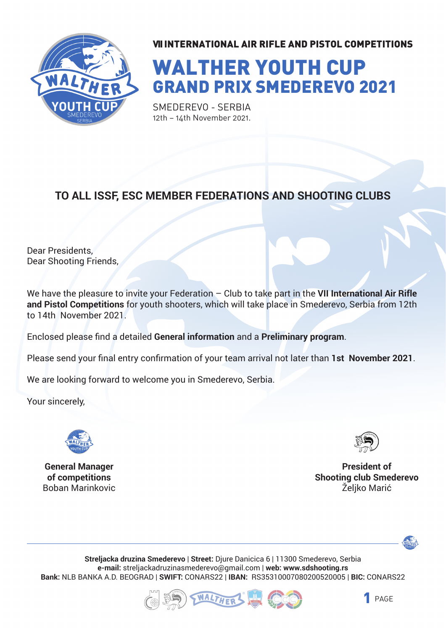

# WALTHER YOUTH CUP GRAND PRIX SMEDEREVO 2021

SMEDEREVO - SERBIA 12th – 14th November 2021.

#### **TO ALL ISSF, ESC MEMBER FEDERATIONS AND SHOOTING CLUBS**

Dear Presidents, Dear Shooting Friends,

We have the pleasure to invite your Federation – Club to take part in the **VII International Air Rifle and Pistol Competitions** for youth shooters, which will take place in Smederevo, Serbia from 12th to 14th November 2021.

Enclosed please find a detailed **General information** and a **Preliminary program**.

Please send your final entry confirmation of your team arrival not later than **1st November 2021**.

We are looking forward to welcome you in Smederevo, Serbia.

Your sincerely,



**General Manager of competitions** Boban Marinkovic



**President of Shooting club Smederevo** Željko Marić



**Streljacka druzina Smederevo** | **Street:** Djure Danicica 6 | 11300 Smederevo, Serbia **e-mail:** streljackadruzinasmederevo@gmail.com | **web: www.sdshooting.rs Bank:** NLB BANKA A.D. BEOGRAD | **SWIFT:** CONARS22 | **IBAN:** RS35310007080200520005 | **BIC:** CONARS22



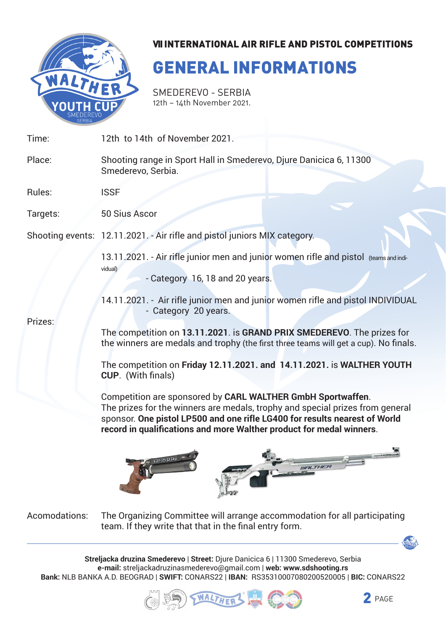

## GENERAL INFORMATIONS

Smederevo - Serbia 12th – 14th November 2021.

| Time:    | 12th to 14th of November 2021.                                                                                                                                                                                                                                                                                                                                                                                                                                                                                                                                                                                                                                                                                                                        |  |
|----------|-------------------------------------------------------------------------------------------------------------------------------------------------------------------------------------------------------------------------------------------------------------------------------------------------------------------------------------------------------------------------------------------------------------------------------------------------------------------------------------------------------------------------------------------------------------------------------------------------------------------------------------------------------------------------------------------------------------------------------------------------------|--|
| Place:   | Shooting range in Sport Hall in Smederevo, Djure Danicica 6, 11300<br>Smederevo, Serbia.                                                                                                                                                                                                                                                                                                                                                                                                                                                                                                                                                                                                                                                              |  |
| Rules:   | <b>ISSF</b>                                                                                                                                                                                                                                                                                                                                                                                                                                                                                                                                                                                                                                                                                                                                           |  |
| Targets: | 50 Sius Ascor                                                                                                                                                                                                                                                                                                                                                                                                                                                                                                                                                                                                                                                                                                                                         |  |
|          | Shooting events: 12.11.2021. - Air rifle and pistol juniors MIX category.                                                                                                                                                                                                                                                                                                                                                                                                                                                                                                                                                                                                                                                                             |  |
| Prizes:  | 13.11.2021. - Air rifle junior men and junior women rifle and pistol (teams and indi-<br>vidual)<br>- Category 16, 18 and 20 years.<br>14.11.2021. - Air rifle junior men and junior women rifle and pistol INDIVIDUAL<br>- Category 20 years.<br>The competition on 13.11.2021. is GRAND PRIX SMEDEREVO. The prizes for<br>the winners are medals and trophy (the first three teams will get a cup). No finals.<br>The competition on Friday 12.11.2021. and 14.11.2021. is WALTHER YOUTH<br><b>CUP.</b> (With finals)<br>Competition are sponsored by CARL WALTHER GmbH Sportwaffen.<br>The prizes for the winners are medals, trophy and special prizes from general<br>sponsor. One pistol LP500 and one rifle LG400 for results nearest of World |  |
|          | record in qualifications and more Walther product for medal winners.<br>LP-500                                                                                                                                                                                                                                                                                                                                                                                                                                                                                                                                                                                                                                                                        |  |

The Organizing Committee will arrange accommodation for all participating team. If they write that that in the final entry form. Acomodations:

**Streljacka druzina Smederevo** | **Street:** Djure Danicica 6 | 11300 Smederevo, Serbia **e-mail:** streljackadruzinasmederevo@gmail.com | **web: www.sdshooting.rs Bank:** NLB BANKA A.D. BEOGRAD | **SWIFT:** CONARS22 | **IBAN:** RS35310007080200520005 | **BIC:** CONARS22



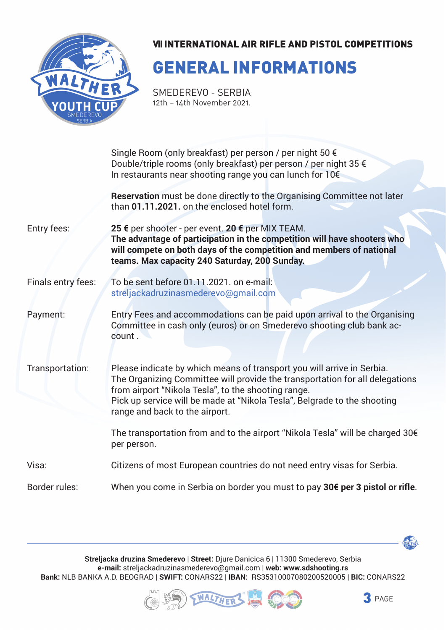

## GENERAL INFORMATIONS

SMEDEREVO - SERBIA 12th – 14th November 2021.

|                    | Single Room (only breakfast) per person / per night 50 €                                                                                                                                                                                                                                                                    |  |  |  |
|--------------------|-----------------------------------------------------------------------------------------------------------------------------------------------------------------------------------------------------------------------------------------------------------------------------------------------------------------------------|--|--|--|
|                    | Double/triple rooms (only breakfast) per person / per night 35 €<br>In restaurants near shooting range you can lunch for 10€                                                                                                                                                                                                |  |  |  |
|                    | Reservation must be done directly to the Organising Committee not later<br>than 01.11.2021. on the enclosed hotel form.                                                                                                                                                                                                     |  |  |  |
| Entry fees:        | 25 € per shooter - per event. 20 € per MIX TEAM.<br>The advantage of participation in the competition will have shooters who<br>will compete on both days of the competition and members of national<br>teams. Max capacity 240 Saturday, 200 Sunday.                                                                       |  |  |  |
| Finals entry fees: | To be sent before 01.11.2021. on e-mail:<br>streljackadruzinasmederevo@gmail.com                                                                                                                                                                                                                                            |  |  |  |
| Payment:           | Entry Fees and accommodations can be paid upon arrival to the Organising<br>Committee in cash only (euros) or on Smederevo shooting club bank ac-<br>count.                                                                                                                                                                 |  |  |  |
| Transportation:    | Please indicate by which means of transport you will arrive in Serbia.<br>The Organizing Committee will provide the transportation for all delegations<br>from airport "Nikola Tesla", to the shooting range.<br>Pick up service will be made at "Nikola Tesla", Belgrade to the shooting<br>range and back to the airport. |  |  |  |
|                    | The transportation from and to the airport "Nikola Tesla" will be charged 30€<br>per person.                                                                                                                                                                                                                                |  |  |  |
| Visa:              | Citizens of most European countries do not need entry visas for Serbia.                                                                                                                                                                                                                                                     |  |  |  |
| Border rules:      | When you come in Serbia on border you must to pay 30€ per 3 pistol or rifle.                                                                                                                                                                                                                                                |  |  |  |

**Streljacka druzina Smederevo** | **Street:** Djure Danicica 6 | 11300 Smederevo, Serbia **e-mail:** streljackadruzinasmederevo@gmail.com | **web: www.sdshooting.rs Bank:** NLB BANKA A.D. BEOGRAD | **SWIFT:** CONARS22 | **IBAN:** RS35310007080200520005 | **BIC:** CONARS22





MALTHER